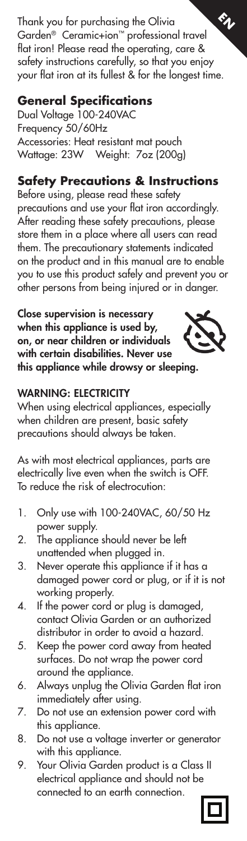Thank you for purchasing the Olivia Garden® Ceramic+ion™ professional travel flat iron! Please read the operating, care & safety instructions carefully, so that you enjoy your flat iron at its fullest & for the longest time.  $\epsilon_\nu$ 

#### **General Specifications**

Dual Voltage 100-240VAC Frequency 50/60Hz Accessories: Heat resistant mat pouch Wattage: 23W Weight: 7oz (200g)

# **Safety Precautions & Instructions**

Before using, please read these safety precautions and use your flat iron accordingly. After reading these safety precautions, please store them in a place where all users can read them. The precautionary statements indicated on the product and in this manual are to enable you to use this product safely and prevent you or other persons from being injured or in danger.

Close supervision is necessary when this appliance is used by, on, or near children or individuals with certain disabilities. Never use this appliance while drowsy or sleeping.



## WARNING: ELECTRICITY

When using electrical appliances, especially when children are present, basic safety precautions should always be taken.

As with most electrical appliances, parts are electrically live even when the switch is OFF. To reduce the risk of electrocution:

- 1. Only use with 100-240VAC, 60/50 Hz power supply.
- 2. The appliance should never be left unattended when plugged in.
- 3. Never operate this appliance if it has a damaged power cord or plug, or if it is not working properly.
- 4. If the power cord or plug is damaged, contact Olivia Garden or an authorized distributor in order to avoid a hazard.
- 5. Keep the power cord away from heated surfaces. Do not wrap the power cord around the appliance.
- 6. Always unplug the Olivia Garden flat iron immediately after using.
- 7. Do not use an extension power cord with this appliance.
- 8. Do not use a voltage inverter or generator with this appliance.
- 9. Your Olivia Garden product is a Class II electrical appliance and should not be connected to an earth connection.

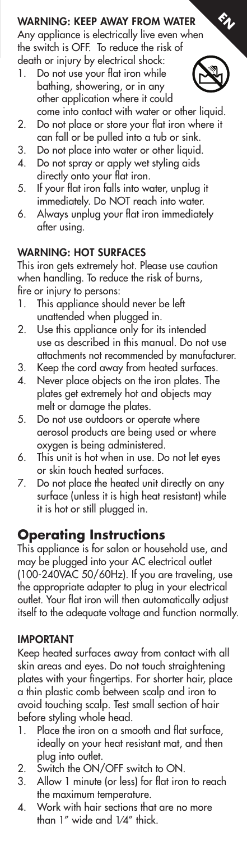## WARNING: KEEP AWAY FROM WATER

Any appliance is electrically live even when the switch is OFF. To reduce the risk of death or injury by electrical shock:

1. Do not use your flat iron while bathing, showering, or in any other application where it could come into contact with water or other liquid.



 $\epsilon_\nu$ 

- 2. Do not place or store your flat iron where it can fall or be pulled into a tub or sink.
- 3. Do not place into water or other liquid.
- 4. Do not spray or apply wet styling aids directly onto your flat iron.
- 5. If your flat iron falls into water, unplug it immediately. Do NOT reach into water.
- 6. Always unplug your flat iron immediately after using.

#### WARNING: HOT SURFACES

This iron gets extremely hot. Please use caution when handling. To reduce the risk of burns, fire or injury to persons:

- 1. This appliance should never be left unattended when plugged in.
- 2. Use this appliance only for its intended use as described in this manual. Do not use attachments not recommended by manufacturer.
- 3. Keep the cord away from heated surfaces.
- 4. Never place objects on the iron plates. The plates get extremely hot and objects may melt or damage the plates.
- 5. Do not use outdoors or operate where aerosol products are being used or where oxygen is being administered.
- 6. This unit is hot when in use. Do not let eyes or skin touch heated surfaces.
- 7. Do not place the heated unit directly on any surface (unless it is high heat resistant) while it is hot or still plugged in.

### **Operating Instructions**

This appliance is for salon or household use, and may be plugged into your AC electrical outlet (100-240VAC 50/60Hz). If you are traveling, use the appropriate adapter to plug in your electrical outlet. Your flat iron will then automatically adjust itself to the adequate voltage and function normally.

#### IMPORTANT

Keep heated surfaces away from contact with all skin areas and eyes. Do not touch straightening plates with your fingertips. For shorter hair, place a thin plastic comb between scalp and iron to avoid touching scalp. Test small section of hair before styling whole head.

- 1. Place the iron on a smooth and flat surface, ideally on your heat resistant mat, and then plug into outlet.
- 2. Switch the ON/OFF switch to ON.
- 3. Allow 1 minute (or less) for flat iron to reach the maximum temperature.
- 4. Work with hair sections that are no more than 1" wide and 1⁄4" thick.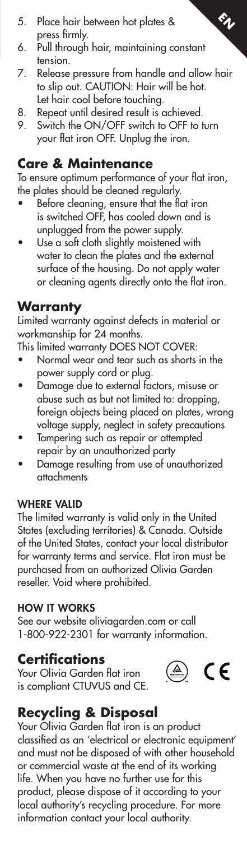- 5. Place hair between hot plates & press firmly.
- 6. Pull through hair, maintaining constant tension.
- 7. Release pressure from handle and allow hair to slip out. CAUTION: Hair will be hot. Let hair cool before touching.

 $\epsilon_\nu$ 

- 8. Repeat until desired result is achieved.
- 9. Switch the ON/OFF switch to OFF to turn your flat iron OFF. Unplug the iron.

### **Care & Maintenance**

To ensure optimum performance of your flat iron, the plates should be cleaned regularly.

- Before cleaning, ensure that the flat iron is switched OFF, has cooled down and is unplugged from the power supply.
- Use a soft cloth slightly moistened with water to clean the plates and the external surface of the housing. Do not apply water or cleaning agents directly onto the flat iron.

# **Warranty**

Limited warranty against defects in material or workmanship for 24 months.

This limited warranty DOES NOT COVER:

- Normal wear and tear such as shorts in the power supply cord or plug.
- Damage due to external factors, misuse or abuse such as but not limited to: dropping, foreign objects being placed on plates, wrong voltage supply, neglect in safety precautions
- Tampering such as repair or attempted repair by an unauthorized party
- Damage resulting from use of unauthorized attachments

### WHERE VALID

The limited warranty is valid only in the United States (excluding territories) & Canada. Outside of the United States, contact your local distributor for warranty terms and service. Flat iron must be purchased from an authorized Olivia Garden reseller. Void where prohibited.

#### HOW IT WORKS

See our website oliviagarden.com or call 1-800-922-2301 for warranty information.

# **Certifications**

Your Olivia Garden flat iron is compliant CTUVUS and CE.



# **Recycling & Disposal**

Your Olivia Garden flat iron is an product classified as an 'electrical or electronic equipment' and must not be disposed of with other household or commercial waste at the end of its working life. When you have no further use for this product, please dispose of it according to your local authority's recycling procedure. For more information contact your local authority.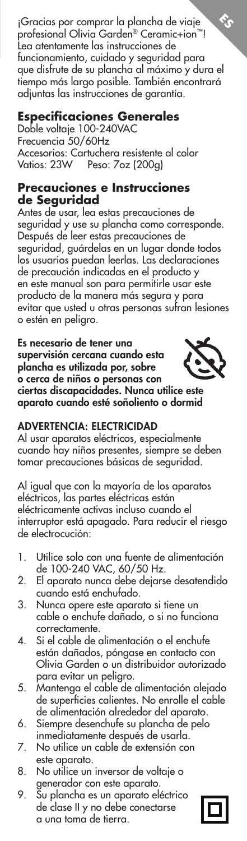¡Gracias por comprar la plancha de viaje profesional Olivia Garden® Ceramic+ion™! Lea atentamente las instrucciones de funcionamiento, cuidado y seguridad para que disfrute de su plancha al máximo y dura el tiempo más largo posible. También encontrará adjuntas las instrucciones de garantía. **ES**

### **Especificaciones Generales**

Doble voltaje 100-240VAC Frecuencia 50/60Hz Accesorios: Cartuchera resistente al color Vatios: 23W Peso: 7oz (200g)

#### **Precauciones e Instrucciones de Seguridad**

Antes de usar, lea estas precauciones de seguridad y use su plancha como corresponde. Después de leer estas precauciones de seguridad, guárdelas en un lugar donde todos los usuarios puedan leerlas. Las declaraciones de precaución indicadas en el producto y en este manual son para permitirle usar este producto de la manera más segura y para evitar que usted u otras personas sufran lesiones o estén en peligro.

Es necesario de tener una supervisión cercana cuando esta plancha es utilizada por, sobre o cerca de niños o personas con ciertas discapacidades. Nunca utilice este aparato cuando esté soñoliento o dormid

#### ADVERTENCIA: ELECTRICIDAD

Al usar aparatos eléctricos, especialmente cuando hay niños presentes, siempre se deben tomar precauciones básicas de seguridad.

Al igual que con la mayoría de los aparatos eléctricos, las partes eléctricas están eléctricamente activas incluso cuando el interruptor está apagado. Para reducir el riesgo de electrocución:

- 1. Utilice solo con una fuente de alimentación de 100-240 VAC, 60/50 Hz.
- 2. El aparato nunca debe dejarse desatendido cuando está enchufado.
- 3. Nunca opere este aparato si tiene un cable o enchufe dañado, o si no funciona correctamente.
- 4. Si el cable de alimentación o el enchufe están dañados, póngase en contacto con Olivia Garden o un distribuidor autorizado para evitar un peligro.
- 5. Mantenga el cable de alimentación alejado de superficies calientes. No enrolle el cable de alimentación alrededor del aparato.
- 6. Siempre desenchufe su plancha de pelo inmediatamente después de usarla.
- 7. No utilice un cable de extensión con este aparato.
- 8. No utilice un inversor de voltaje o generador con este aparato.
- 9. Su plancha es un aparato eléctrico de clase II y no debe conectarse a una toma de tierra.

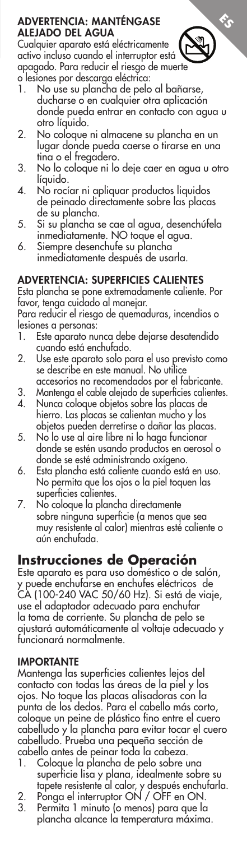#### ADVERTENCIA: MANTÉNGASE ALEJADO DEL AGUA

Cualquier aparato está eléctricamente activo incluso cuando el interruptor está apagado. Para reducir el riesgo de muerte

- o lesiones por descarga eléctrica: 1. No use su plancha de pelo al bañarse, ducharse o en cualquier otra aplicación
	- donde pueda entrar en contacto con agua u otro líquido.

**ES**

- 2. No coloque ni almacene su plancha en un lugar donde pueda caerse o tirarse en una tina o el fregadero.
- 3. No lo coloque ni lo deje caer en agua u otro líquido.
- 4. No rocíar ni apliquar productos liquidos de peinado directamente sobre las placas de su plancha.
- 5. Si su plancha se cae al agua, desenchúfela inmediatamente. NO toque el agua.
- 6. Siempre desenchufe su plancha inmediatamente después de usarla.

#### ADVERTENCIA: SUPERFICIES CALIENTES

Esta plancha se pone extremadamente caliente. Por favor, tenga cuidado al manejar.

Para reducir el riesgo de quemaduras, incendios o lesiones a personas:

- 1. Este aparato nunca debe dejarse desatendido cuando está enchufado.
- 2. Use este aparato solo para el uso previsto como se describe en este manual. No utilice
- accesorios no recomendados por el fabricante. 3. Mantenga el cable alejado de superficies calientes.
- 4. Nunca coloque objetos sobre las placas de hierro. Las placas se calientan mucho y los objetos pueden derretirse o dañar las placas.
- 5. No lo use al aire libre ni lo haga funcionar donde se estén usando productos en aerosol o donde se esté administrando oxígeno.
- 6. Esta plancha está caliente cuando está en uso. No permita que los ojos o la piel toquen las superficies calientes.
- 7. No coloque la plancha directamente sobre ninguna superficie (a menos que sea muy resistente al calor) mientras esté caliente o aún enchufada.

# **Instrucciones de Operación**

Este aparato es para uso doméstico o de salón, y puede enchufarse en enchufes eléctricos de CA (100-240 VAC 50/60 Hz). Si está de viaje, use el adaptador adecuado para enchufar la toma de corriente. Su plancha de pelo se ajustará automáticamente al voltaje adecuado y funcionará normalmente.

#### IMPORTANTE

Mantenga las superficies calientes lejos del contacto con todas las áreas de la piel y los ojos. No toque las placas alisadoras con la punta de los dedos. Para el cabello más corto, coloque un peine de plástico fino entre el cuero cabelludo y la plancha para evitar tocar el cuero cabelludo. Prueba una pequeña sección de cabello antes de peinar toda la cabeza.

- 1. Coloque la plancha de pelo sobre una superficie lisa y plana, idealmente sobre su
- tapete resistente al calor, y después enchufarla. 2. Ponga el interruptor ON / OFF en ON.
- 3. Permita 1 minuto (o menos) para que la plancha alcance la temperatura máxima.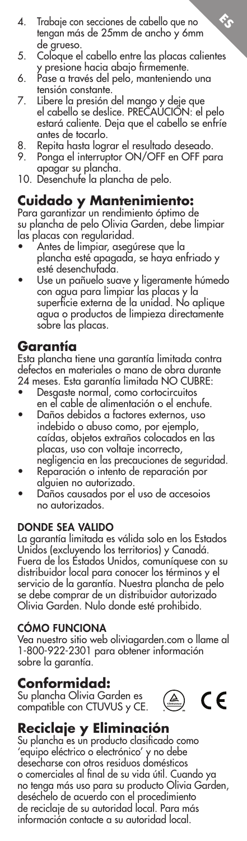- 4. Trabaje con secciones de cabello que no tengan más de 25mm de ancho y 6mm de grueso.
- 5. Coloque el cabello entre las placas calientes y presione hacia abajo firmemente.

**ES**

- 6. Pase a través del pelo, manteniendo una tensión constante.
- 7. Libere la presión del mango y deje que el cabello se deslice. PRECAUCION: el pelo estará caliente. Deja que el cabello se enfríe antes de tocarlo.
- 8. Repita hasta lograr el resultado deseado.
- 9. Ponga el interruptor ON/OFF en OFF para apagar su plancha.
- 10. Desenchufe la plancha de pelo.

#### **Cuidado y Mantenimiento:**

Para garantizar un rendimiento óptimo de su plancha de pelo Olivia Garden, debe limpiar las placas con regularidad.

- Antes de limpiar, asegúrese que la plancha esté apagada, se haya enfriado y esté desenchufada.
- Use un pañuelo suave y ligeramente húmedo con agua para limpiar las placas y la superficie externa de la unidad. No aplique agua o productos de limpieza directamente sobre las placas.

### **Garantía**

Esta plancha tiene una garantía limitada contra defectos en materiales o mano de obra durante 24 meses. Esta garantía limitada NO CUBRE:

- Desgaste normal, como cortocircuitos en el cable de alimentación o el enchufe.
- Daños debidos a factores externos, uso indebido o abuso como, por ejemplo, caídas, objetos extraños colocados en las placas, uso con voltaje incorrecto, negligencia en las precauciones de seguridad.
- Reparación o intento de reparación por alguien no autorizado.
- Daños causados por el uso de accesoios no autorizados.

#### DONDE SEA VALIDO

La garantía limitada es válida solo en los Estados Unidos (excluyendo los territorios) y Canadá. Fuera de los Estados Unidos, comuníquese con su distribuidor local para conocer los términos y el servicio de la garantía. Nuestra plancha de pelo se debe comprar de un distribuidor autorizado Olivia Garden. Nulo donde esté prohibido.

#### CÓMO FUNCIONA

Vea nuestro sitio web oliviagarden.com o llame al 1-800-922-2301 para obtener información sobre la garantía.

### **Conformidad:**

Su plancha Olivia Garden es compatible con CTUVUS y CE.



# **Reciclaje y Eliminación**

Su plancha es un producto clasificado como 'equipo eléctrico o electrónico' y no debe desecharse con otros residuos domésticos o comerciales al final de su vida útil. Cuando ya no tenga más uso para su producto Olivia Garden, deséchelo de acuerdo con el procedimiento de reciclaje de su autoridad local. Para más información contacte a su autoridad local.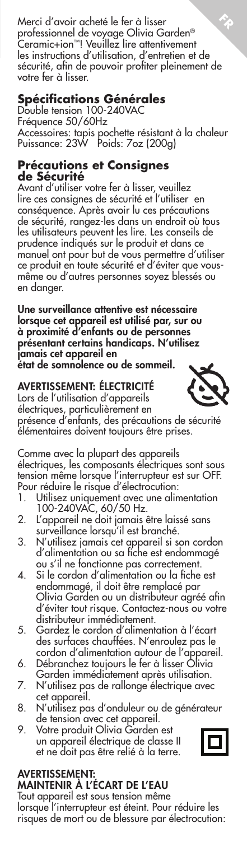Merci d'avoir acheté le fer à lisser professionnel de voyage Olivia Garden® Ceramic+ion™! Veuillez lire attentivement les instructions d'utilisation, d'entretien et de sécurité, afin de pouvoir profiter pleinement de votre fer à lisser. **FR**

#### **Spécifications Générales**

Double tension 100-240VAC Fréquence 50/60Hz Accessoires: tapis pochette résistant à la chaleur Puissance: 23W Poids: 7oz (200g)

#### **Précautions et Consignes de Sécurité**

Avant d'utiliser votre fer à lisser, veuillez lire ces consignes de sécurité et l'utiliser en conséquence. Après avoir lu ces précautions de sécurité, rangez-les dans un endroit où tous les utilisateurs peuvent les lire. Les conseils de prudence indiqués sur le produit et dans ce manuel ont pour but de vous permettre d'utiliser ce produit en toute sécurité et d'éviter que vousmême ou d'autres personnes soyez blessés ou en danger.

Une surveillance attentive est nécessaire lorsque cet appareil est utilisé par, sur ou à proximité d'enfants ou de personnes présentant certains handicaps. N'utilisez jamais cet appareil en état de somnolence ou de sommeil.

## AVERTISSEMENT: ÉLECTRICITÉ

Lors de l'utilisation d'appareils électriques, particulièrement en

présence d'enfants, des précautions de sécurité élémentaires doivent toujours être prises.

Comme avec la plupart des appareils électriques, les composants électriques sont sous tension même lorsque l'interrupteur est sur OFF. Pour réduire le risque d'électrocution:<br>1. Utilisez uniquement avec une alin

- 1. Utilisez uniquement avec une alimentation 100-240VAC, 60/50 Hz.
- 2. L'appareil ne doit jamais être laissé sans surveillance lorsqu'il est branché.
- 3. N'utilisez jamais cet appareil si son cordon d'alimentation ou sa fiche est endommagé ou s'il ne fonctionne pas correctement.
- 4. Si le cordon d'alimentation ou la fiche est endommagé, il doit être remplacé par Olivia Garden ou un distributeur agréé afin d'éviter tout risque. Contactez-nous ou votre distributeur immédiatement.
- 5. Gardez le cordon d'alimentation à l'écart des surfaces chauffées. N'enroulez pas le cordon d'alimentation autour de l'appareil.
- 6. Débranchez toujours le fer à lisser Olivia Garden immédiatement après utilisation.
- 7. N'utilisez pas de rallonge électrique avec cet appareil.
- 8. N'utilisez pas d'onduleur ou de générateur de tension avec cet appareil.
- 9. Votre produit Olivia Garden est un appareil électrique de classe II et ne doit pas être relié à la terre.

# AVERTISSEMENT: MAINTENIR À L'ÉCART DE L'EAU

Tout appareil est sous tension même lorsque l'interrupteur est éteint. Pour réduire les risques de mort ou de blessure par électrocution:



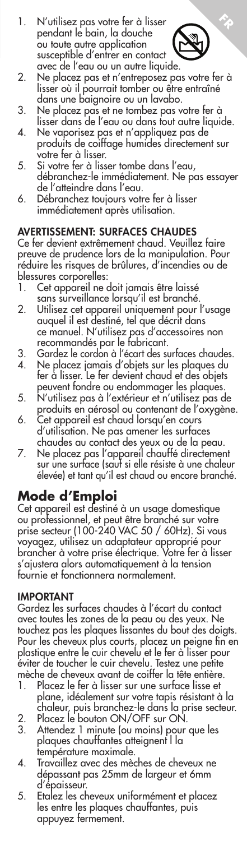1. N'utilisez pas votre fer à lisser pendant le bain, la douche ou toute autre application susceptible d'entrer en contact avec de l'eau ou un autre liquide.



**FR**

- 2. Ne placez pas et n'entreposez pas votre fer à lisser où il pourrait tomber ou être entraîné dans une baignoire ou un lavabo.
- 3. Ne placez pas et ne tombez pas votre fer à lisser dans de l'eau ou dans tout autre liquide.
- 4. Ne vaporisez pas et n'appliquez pas de produits de coiffage humides directement sur votre fer à lisser.
- 5. Si votre fer à lisser tombe dans l'eau, débranchez-le immédiatement. Ne pas essayer de l'atteindre dans l'eau.
- 6. Débranchez toujours votre fer à lisser immédiatement après utilisation.

#### AVERTISSEMENT: SURFACES CHAUDES

Ce fer devient extrêmement chaud. Veuillez faire preuve de prudence lors de la manipulation. Pour réduire les risques de brûlures, d'incendies ou de blessures corporelles:<br>1. Cet appareil ne

- Cet appareil ne doit jamais être laissé
- sans surveillance lorsqu'il est branché. 2. Utilisez cet appareil uniquement pour l'usage auquel il est destiné, tel que décrit dans ce manuel. N'utilisez pas d'accessoires non recommandés par le fabricant.
- 3. Gardez le cordon à l'écart des surfaces chaudes.
- 4. Ne placez jamais d'objets sur les plaques du fer à lisser. Le fer devient chaud et des objets peuvent fondre ou endommager les plaques.
- 5. N'utilisez pas à l'extérieur et n'utilisez pas de produits en aérosol ou contenant de l'oxygène.
- 6. Cet appareil est chaud lorsqu'en cours d'utilisation. Ne pas amener les surfaces chaudes au contact des yeux ou de la peau.
- 7. Ne placez pas l'appareil chauffé directement sur une surface (sauf si elle résiste à une chaleur élevée) et tant qu'il est chaud ou encore branché.

# **Mode d'Emploi**

Cet appareil est destiné à un usage domestique ou professionnel, et peut être branché sur votre prise secteur (100-240 VAC 50 / 60Hz). Si vous voyagez, utilisez un adaptateur approprié pour brancher à votre prise électrique. Votre fer à lisser s'ajustera alors automatiquement à la tension fournie et fonctionnera normalement.

#### IMPORTANT

Gardez les surfaces chaudes à l'écart du contact avec toutes les zones de la peau ou des yeux. Ne touchez pas les plaques lissantes du bout des doigts. Pour les cheveux plus courts, placez un peigne fin en plastique entre le cuir chevelu et le fer à lisser pour éviter de toucher le cuir chevelu. Testez une petite mèche de cheveux avant de coiffer la tête entière.

- 1. Placez le fer à lisser sur une surface lisse et plane, idéalement sur votre tapis résistant à la chaleur, puis branchez-le dans la prise secteur.
- 2. Placez le bouton ON/OFF sur ON. 3. Attendez 1 minute (ou moins) pour que les plaques chauffantes atteignent l la température maximale.
- 4. Travaillez avec des mèches de cheveux ne dépassant pas 25mm de largeur et 6mm d'épaisseur.
- 5. Etalez les cheveux uniformément et placez les entre les plaques chauffantes, puis appuyez fermement.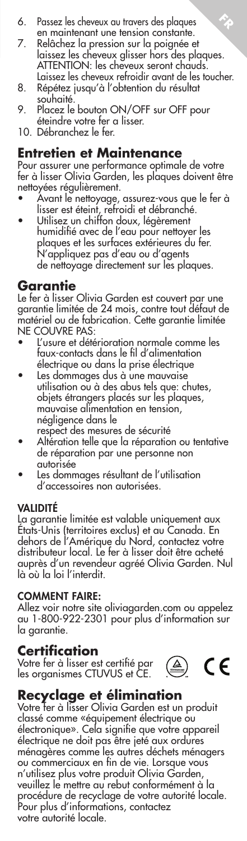- 6. Passez les cheveux au travers des plaques en maintenant une tension constante.
- 7. Relâchez la pression sur la poignée et laissez les cheveux glisser hors des plaques. ATTENTION: les cheveux seront chauds. Laissez les cheveux refroidir avant de les toucher.

**FR**

- 8. Répétez jusqu'à l'obtention du résultat souhaité.
- 9. Placez le bouton ON/OFF sur OFF pour éteindre votre fer a lisser.
- 10. Débranchez le fer.

#### **Entretien et Maintenance**

Pour assurer une performance optimale de votre fer à lisser Olivia Garden, les plaques doivent être nettoyées régulièrement.

- Avant le nettoyage, assurez-vous que le fer à lisser est éteint, refroidi et débranché.
- Utilisez un chiffon doux, légèrement humidifié avec de l'eau pour nettoyer les plaques et les surfaces extérieures du fer. N'appliquez pas d'eau ou d'agents de nettoyage directement sur les plaques.

### **Garantie**

Le fer à lisser Olivia Garden est couvert par une garantie limitée de 24 mois, contre tout défaut de matériel ou de fabrication. Cette garantie limitée NE COUVRE PAS:

- L'usure et détérioration normale comme les faux-contacts dans le fil d'alimentation électrique ou dans la prise électrique
- Les dommages dus à une mauvaise utilisation ou à des abus tels que: chutes, objets étrangers placés sur les plaques, mauvaise alimentation en tension, négligence dans le
	- respect des mesures de sécurité
- Altération telle que la réparation ou tentative de réparation par une personne non autorisée
- Les dommages résultant de l'utilisation d'accessoires non autorisées.

#### VALIDITÉ

La garantie limitée est valable uniquement aux États-Unis (territoires exclus) et au Canada. En dehors de l'Amérique du Nord, contactez votre distributeur local. Le fer à lisser doit être acheté auprès d'un revendeur agréé Olivia Garden. Nul là où la loi l'interdit.

#### COMMENT FAIRE:

Allez voir notre site oliviagarden.com ou appelez au 1-800-922-2301 pour plus d'information sur la garantie.

### **Certification**

Votre fer à lisser est certifié par les organismes CTUVUS et CE.



# **Recyclage et élimination**

Votre fer à lisser Olivia Garden est un produit classé comme «équipement électrique ou électronique». Cela signifie que votre appareil électrique ne doit pas être jeté aux ordures ménagères comme les autres déchets ménagers ou commerciaux en fin de vie. Lorsque vous n'utilisez plus votre produit Olivia Garden, veuillez le mettre au rebut conformément à la procédure de recyclage de votre autorité locale. Pour plus d'informations, contactez votre autorité locale.